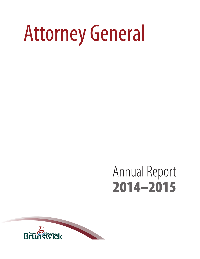# Attorney General

# Annual Report 2014–2015

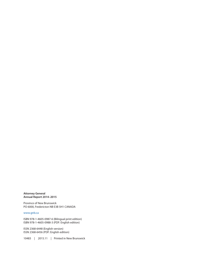**Attorney General Annual Report 2014–2015**

Province of New Brunswick PO 6000, Fredericton NB E3B 5H1 CANADA

#### <www.gnb.ca>

ISBN 978-1-4605-0987-6 (Bilingual print edition) ISBN 978-1-4605-0988-3 (PDF: English edition)

ISSN 2368-6448 (English version) ISSN 2368-6456 (PDF: English edition)

10483 | 2015.11 | Printed in New Brunswick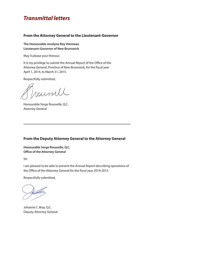### *Transmittal letters*

#### **From the Attorney General to the Lieutenant-Governor**

**The Honourable Jocelyne Roy Vienneau Lieutenant-Governor of New Brunswick**

May it please your Honour:

It is my privilege to submit the Annual Report of the Office of the Attorney General, Province of New Brunswick, for the fiscal year April 1, 2014, to March 31, 2015.

Respectfully submitted,

rountl

Honourable Serge Rousselle, Q.C. Attorney General

#### **From the Deputy Attorney General to the Attorney General**

**Honourable Serge Rousselle, Q.C. Office of the Attorney General**

Sir:

I am pleased to be able to present the Annual Report describing operations of the Office of the Attorney General for the fiscal year 2014-2015.

Respectfully submitted,

Johanne C. Bray, Q.C. Deputy Attorney General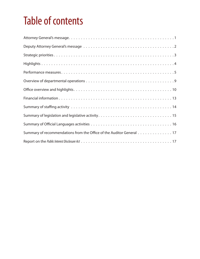# Table of contents

| Summary of recommendations from the Office of the Auditor General 17 |
|----------------------------------------------------------------------|
|                                                                      |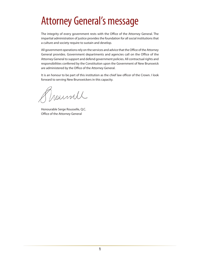# <span id="page-6-0"></span>Attorney General's message

The integrity of every government rests with the Office of the Attorney General. The impartial administration of justice provides the foundation for all social institutions that a culture and society require to sustain and develop.

All government operations rely on the services and advice that the Office of the Attorney General provides. Government departments and agencies call on the Office of the Attorney General to support and defend government policies. All contractual rights and responsibilities conferred by the Constitution upon the Government of New Brunswick are administered by the Office of the Attorney General.

It is an honour to be part of this institution as the chief law officer of the Crown. I look forward to serving New Brunswickers in this capacity.

Troumll

Honourable Serge Rousselle, Q.C. Office of the Attorney General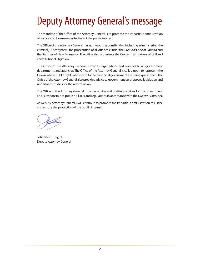# <span id="page-7-0"></span>Deputy Attorney General's message

The mandate of the Office of the Attorney General is to promote the impartial administration of justice and to ensure protection of the public interest.

The Office of the Attorney General has numerous responsibilities, including administering the criminal justice system, the prosecution of all offences under the *Criminal Code of Canada* and the Statutes of New Brunswick. The office also represents the Crown in all matters of civil and constitutional litigation.

The Office of the Attorney General provides legal advice and services to all government departments and agencies. The Office of the Attorney General is called upon to represent the Crown where public rights of concern to the provincial government are being questioned. The Office of the Attorney General also provides advice to government on proposed legislation and undertakes studies for the reform of law.

The Office of the Attorney General provides advice and drafting services for the government and is responsible to publish all acts and regulations in accordance with the *Queen's Printer Act*.

As Deputy Attorney General, I will continue to promote the impartial administration of justice and ensure the protection of the public interest.

Johanne C. Bray, Q.C. Deputy Attorney General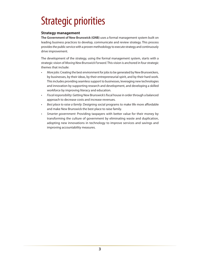# <span id="page-8-0"></span>Strategic priorities

#### **Strategy management**

**The Government of New Brunswick (GNB)** uses a formal management system built on leading business practices to develop, communicate and review strategy. This process provides the public service with a proven methodology to execute strategy and continuously drive improvement.

The development of the strategy, using the formal management system, starts with a strategic vision of *Moving New Brunswick Forward*. This vision is anchored in four strategic themes that include:

- • *More jobs*: Creating the best environment for jobs to be generated by New Brunswickers, by businesses, by their ideas, by their entrepreneurial spirit, and by their hard work. This includes providing seamless support to businesses, leveraging new technologies and innovation by supporting research and development, and developing a skilled workforce by improving literacy and education.
- • *Fiscal responsibility*: Getting New Brunswick's fiscal house in order through a balanced approach to decrease costs and increase revenues.
- • *Best place to raise a family*: Designing social programs to make life more affordable and make New Brunswick the best place to raise family.
- Smarter government: Providing taxpayers with better value for their money by transforming the culture of government by eliminating waste and duplication, adopting new innovations in technology to improve services and savings and improving accountability measures.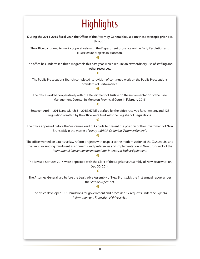# **Highlights**

<span id="page-9-0"></span>**During the 2014-2015 fiscal year, the Office of the Attorney General focused on these strategic priorities through:** The office continued to work cooperatively with the Department of Justice on the Early Resolution and E-Disclosure projects in Moncton.  $\ast$ The office has undertaken three megatrials this past year, which require an extraordinary use of staffing and other resources.  $\overline{\mathbf{r}}$ The Public Prosecutions Branch completed its revision of continued work on the Public Prosecutions Standards of Performance. \* The office worked cooperatively with the Department of Justice on the implementation of the Case Management Counter in Moncton Provincial Court in February 2015.  $\ast$ Between April 1, 2014, and March 31, 2015, 67 bills drafted by the office received Royal Assent, and 123 regulations drafted by the office were filed with the Registrar of Regulations.  $\ast$ The office appeared before the Supreme Court of Canada to present the position of the Government of New Brunswick in the matter of *Henry v. British Columbia (Attorney General*).  $\ast$ The office worked on extensive law reform projects with respect to the modernization of the *Trustees Act* and the law surrounding fraudulent assignments and preferences and implementation in New Brunswick of the *International Convention on International Interests in Mobile Equipment*.  $\ast$ The Revised Statutes 2014 were deposited with the Clerk of the Legislative Assembly of New Brunswick on Dec. 30, 2014.  $\ast$ The Attorney General laid before the Legislative Assembly of New Brunswick the first annual report under the *Statute Repeal Act*.  $\ast$ The office developed 11 submissions for government and processed 17 requests under the *Right to Information and Protection of Privacy Act*.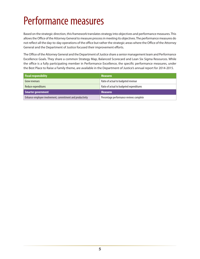# <span id="page-10-0"></span>Performance measures

Based on the strategic direction, this framework translates strategy into objectives and performance measures. This allows the Office of the Attorney General to measure process in meeting its objectives. The performance measures do not reflect all the day-to-day operations of the office but rather the strategic areas where the Office of the Attorney General and the Department of Justice focused their improvement efforts.

The Office of the Attorney General and the Department of Justice share a senior management team and Performance Excellence Goals. They share a common Strategy Map, Balanced Scorecard and Lean Six Sigma Resources. While the office is a fully participating member in Performance Excellence, the specific performance measures, under the Best Place to Raise a Family theme, are available in the Department of Justice's annual report for 2014-2015.

| <b>Fiscal responsibility</b>                              | <b>Measures</b>                          |
|-----------------------------------------------------------|------------------------------------------|
| Grow revenues                                             | Ratio of actual to budgeted revenue      |
| Reduce expenditures                                       | Ratio of actual to budgeted expenditures |
| Smarter government                                        | <b>Measures</b>                          |
| Enhance employee involvement, commitment and productivity | Percentage performance reviews complete  |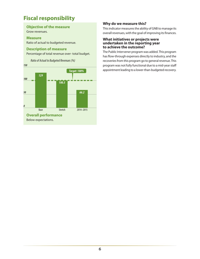### **Fiscal responsibility**

#### **Objective of the measure**

Grow revenues.

#### **Measure**

Ratio of actual to budgeted revenue.

#### **Description of measure**

Percentage of total revenue over- total budget.



#### **Why do we measure this?**

This indicator measures the ability of GNB to manage its overall revenues, with the goal of improving its finances.

#### **What initiatives or projects were undertaken in the reporting year to achieve the outcome?**

The Public Intervener program was added. This program has flow-through expenses directly to industry, and the recoveries from this program go to general revenue. This program was not fully functional due to a mid-year staff appointment leading to a lower-than-budgeted recovery. *Target: 100%*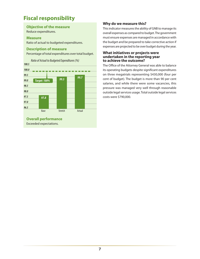### **Fiscal responsibility**

#### **Objective of the measure**

Reduce expenditures.

#### **Measure**

Ratio of actual to budgeted expenditures.

#### **Description of measure**

Percentage of total expenditures over total budget.



#### **Why do we measure this?**

This indicator measures the ability of GNB to manage its overall expenses as compared to budget. The government must ensure expenses are managed in accordance with the budget and be prepared to take corrective action if expenses are projected to be over budget during the year.

#### **What initiatives or projects were undertaken in the reporting year to achieve the outcome?**

The Office of the Attorney General was able to balance its operating budgets despite significant expenditures on three megatrials representing \$430,000 (four per cent of budget). The budget is more than 90 per cent salaries, and while there were some vacancies, this pressure was managed very well through reasonable outside legal services usage. Total outside legal services costs were \$790,000.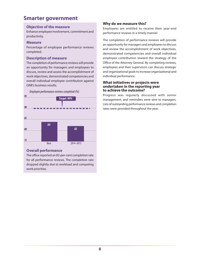### **Smarter government**

#### **Objective of the measure**

Enhance employee involvement, commitment and productivity.

#### **Measure**

Percentage of employee performance reviews completed.

#### **Description of measure**

The completion of performance reviews will provide an opportunity for managers and employees to discuss, review and assess the accomplishment of work objectives, demonstrated competencies and overall individual employee contribution against GNB's business results.





#### **Overall performance**

The office reported an 82-per-cent completion rate for all performance reviews. The completion rate dropped slightly due to workload and competing work priorities.

#### **Why do we measure this?**

Employees are entitled to receive their year-end performance reviews in a timely manner.

The completion of performance reviews will provide an opportunity for managers and employees to discuss and review the accomplishment of work objectives, demonstrated competencies and overall individual employee contribution toward the strategy of the Office of the Attorney General. By completing reviews, employees and their supervisors can discuss strategic and organizational goals to increase organizational and individual performance.

#### **What initiatives or projects were undertaken in the reporting year to achieve the outcome?**

Progress was regularly discussed with senior management, and reminders were sent to managers. Lists of outstanding performance reviews and completion rates were provided throughout the year.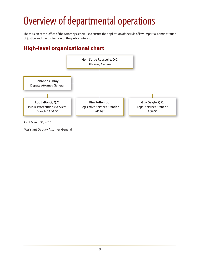# <span id="page-14-0"></span>Overview of departmental operations

The mission of the Office of the Attorney General is to ensure the application of the rule of law, impartial administration of justice and the protection of the public interest.

### **High-level organizational chart**



As of March 31, 2015

\*Assistant Deputy Attorney General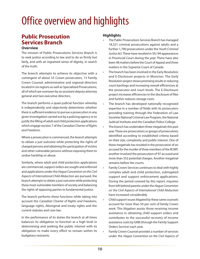# <span id="page-15-0"></span>Office overview and highlights

### **Public Prosecution Services Branch**

#### **Overview**

The mission of Public Prosecutions Services Branch is to seek justice according to law and to do so firmly but fairly, and with an ingrained sense of dignity, in search of the truth.

The branch attempts to achieve its objective with a contingent of about 55 Crown prosecutors, 13 Family Crown Counsel, administrative and regional directors located in six regions as well as Specialized Prosecutions, all of which are overseen by an assistant deputy attorney general and two executive directors.

The branch performs a quasi-judicial function whereby it independently and objectively determines whether there is sufficient evidence to pursue a prosecution in any given investigation carried out by a policing agency or to justify the filling of adult and child protection applications which engage section 7 of the *Canadian Charter of Rights and Freedoms*.

Where a prosecution is commenced, the branch attempts to obtain a just outcome while protecting the rights of charged persons and obtaining the participation of victims and other vulnerable persons without exposing them to undue hardship or abuse.

Similarly, where adult and child protection applications are commenced, support orders are sought and enforced and applications under the *Hague Convention on the Civil Aspects of International Child Abduction* are pursued, the branch attempts to obtain a just outcome while protecting these most vulnerable members of society and balancing the rights of opposing parties to fundamental justice.

The branch performs these functions while taking into account the *Canadian Charter of Rights and Freedoms*, language rights, Aboriginal and treaty rights and the current statutes and case law.

In the performance of its duties the branch at all times balances its obligation to function at a high level in determining and seeking the public interest with its obligation to make every effort to remain within its budgetary restraints.

#### **Highlights**

- The Public Prosecutions Services Branch has managed 18,321 criminal prosecutions against adults and a further 1,790 prosecutions under the *Youth Criminal Justice Act*. These have resulted in 59,194 appearances in Provincial Court during the year. There have also been 48 matters before the Court of Appeal and three matters in the Supreme Court of Canada.
- The branch has been involved in the Early Resolution and E-Disclosure projects in Moncton. The Early Resolution project shows promising results in reducing court backlogs and increasing overall efficiencies at the prosecutor and court levels. The E-Disclosure project increases efficiencies in the disclosure of files and further reduces storage costs.
- The branch has developed nationally recognized expertise in a number of fields with its prosecutors providing training through the Federation of Law Societies National Criminal Law Program, the National Judicial Institute and the Canadian Police College.
- • The branch has undertaken three megatrials this past year. These are prosecutions or groups of prosecutions identified according to established criteria based on their size, complexity and public interest. One of these megatrials has resulted in the prosecution of an accused for the murder of three members of the RCMP; another involved the prosecution of 97 accused and more than 352 potential charges. Another megatrial remains before the courts.
- Family Crown Services continues to deal with highly complex adult and child protection, subrogated support and support enforcement applications. During the period covered by this report, inquiries from left behind parents under the *Hague Convention on the Civil Aspects of International Child Abduction* have increased considerably.
- Child support issues litigated by these same counsels account for more than 50 per cent of family Crown work. This litigation assists those receiving income assistance in obtaining child support orders and contributes to the successful recovery of income assistance costs by GNB (through the Family Support Orders Service) each year.
- Family Crown Counsel provides a number of services under the *Hague Convention on the Civil Aspects of*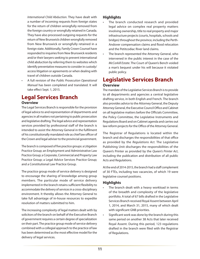*International Child Abduction*. They have dealt with a number of incoming requests from foreign states for the return of children wrongfully removed from the foreign country or wrongfully retained in Canada. They have also processed outgoing requests for the return of New Brunswick children wrongfully removed from New Brunswick or wrongfully retained in a foreign state. Additionally, Family Crown Counsel have responded to inquiries from New Brunswick residents and/or their lawyers seeking to prevent international child abduction by referring them to websites which identify preventative measures to consider in custody/ access litigation or agreements or when dealing with travel of children outside Canada.

A full revision of the *Public Prosecution Operational Manual* has been completed and translated. It will take effect Sept. 1, 2015.

### **Legal Services Branch**

#### **Overview**

The Legal Services Branch is responsible for the provision of legal advice to and representation of departments and agencies in all matters not pertaining to public prosecution and legislative drafting. The legal advice and representation services provided by professional staff of the branch is intended to assist the Attorney General in the fulfilment of his constitutionally mandated role as chief law officer of the Crown and legal adviser to the provincial government.

The branch is composed of five practice groups: a Litigation Practice Group; an Employment and Administrative Law Practice Group; a Corporate, Commercial and Property Law Practice Group; a Legal Advice Services Practice Group; and a Constitutional Law Practice Group.

The practice group mode of service delivery is designed to encourage the sharing of knowledge among group members. The particular mode of service delivery implemented in the branch retains sufficient flexibility to accommodate the delivery of services in a cross-disciplinary environment. It thereby allows the Attorney General to take full advantage of in-house resources to expedite resolution of matters submitted to him.

The increasing complexity of legal matters dealt with by solicitors of the branch on behalf of the Executive Branch of government requires a certain degree of specialization on their part. The practice group mode of service delivery combined with a collegial approach to the practice of law has been determined as the most effective model for the delivery of legal services.

#### **Highlights**

- The branch conducted research and provided legal advice on complex real property matters involving ownership, title to real property and major infrastructure projects (courts, hospitals, schools and bridges) throughout the province, including the Perth-Andover compensation claims and flood relocation and the Petitcodiac River land claims.
- The branch represented the Attorney General, who intervened in the public interest in the case of the *McCorkill Estate*. The Court of Queen's Bench voided a man's bequest under his will because it violated public policy.

### **Legislative Services Branch Overview**

The mandate of the Legislative Services Branch is to provide to all departments and agencies a central legislative drafting service, in both English and French. The branch also provides advice to the Attorney General, the Deputy Attorney General, the Executive Council Office and Cabinet on all legislative matters before the Officials Committee, the Policy Committee, the Legislative Instruments and Regulations Board and on Cabinet agenda and carries out law reform projects for the Office of the Attorney General.

The Registrar of Regulations is located within the branch and discharges the responsibilities of that office as provided by the *Regulations Act*. The Legislative Publishing Unit discharges the responsibilities of the Queen's Printer as provided by the *Queen's Printer Act*, including the publication and distribution of all public Acts and Regulations.

At the end of 2014-2015, the branch had a staff complement of 30 FTEs, including two vacancies, of which 19 were legislative counsel positions.

#### **Highlights**

- The branch dealt with a heavy workload in terms of the breadth and complexity of the legislative portfolio. A total of 67 bills drafted in the Legislative Services Branch received Royal Assent between April 1, 2014, and March 31, 2015, many of which dealt with significant GNB priorities.
- • Significant work was done by the branch during this same period on another 38 Acts that later received Royal Assent. During this period, 123 regulations drafted in the branch were filed with the Registrar of Regulations.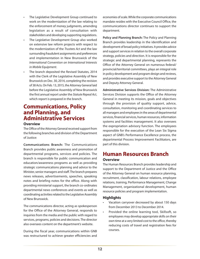- The Legislative Development Group continued to work on the modernization of the law relating to the enforcement of money judgments, amending legislation as a result of consultation with stakeholders and developing supporting regulations.
- The Legislative Development Group also worked on extensive law reform projects with respect to the modernization of the *Trustees Act* and the law surrounding fraudulent assignments and preferences and implementation in New Brunswick of the *International Convention on International Interests in Mobile Equipment*.
- The branch deposited the Revised Statutes, 2014 with the Clerk of the Legislative Assembly of New Brunswick on Dec. 30, 2014, completing the revision of 38 Acts. On Feb. 13, 2015, the Attorney General laid before the Legislative Assembly of New Brunswick the first annual report under the *Statute Repeal Act*, which report is prepared in the branch.

### **Communications, Policy and Planning, and Administrative Services**

#### **Overview**

The Office of the Attorney General received support from the following branches and division of the Department of Justice:

**Communications Branch:** The Communications Branch provides public awareness and promotion of departmental programs, services and policies. The branch is responsible for public communication and education/awareness programs as well as providing strategic communications planning and advice to the Minister, senior managers and staff. The branch prepares news releases, advertisements, speeches, speaking notes and briefing notes for the office. Along with providing ministerial support, the branch co-ordinates departmental news conferences and events as well as coordinating activities related to the Legislative Assembly of New Brunswick.

The communications director, acting as spokesperson for the Office of the Attorney General, responds to inquiries from the media and the public with regard to services, programs, policies and decisions. The director also oversees content on the department's website.

During the fiscal year, communications within GNB was restructured to achieve greater efficiencies and economies of scale. While the corporate communications mandate resides with the Executive Council Office, the communications director continues to support the department.

**Policy and Planning Branch:** The Policy and Planning Branch provides leadership in the identification and development of broad policy initiatives. It provides advice and support services in relation to the overall corporate strategy, policies and direction. It is responsible for the strategic and departmental planning, represents the Office of the Attorney General on numerous federal/ provincial/territorial committees, plays an integral role in policy development and program design and reviews, and provides executive support to the Attorney General and Deputy Attorney General.

**Administrative Services Division:** The Administrative Services Division supports the Office of the Attorney General in meeting its mission, goals and objectives through the provision of quality support, advice, consultation, monitoring and coordinating services to all managers and employees in the areas of departmental services, financial services, human resources, information systems and facilities management. It also oversees the expropriation advisory function. The employees responsible for the execution of the Lean Six Sigma aspect of GNB's Performance Excellence process, the departmental Process Improvement Facilitators, are part of this division.

### **Human Resources Branch Overview**

The Human Resources Branch provides leadership and support to the Department of Justice and the Office of the Attorney General on human resource planning, recruitment, classification, labour relations, employee relations, training, Performance Management, Change Management, organizational development, human resource policies and program implementation.

#### **Highlights**

- • Vacation carryover decreased by about 150 days from December 2013 to December 2014.
- Provided the online learning tool, Skillsoft, so employees may develop appropriate skills on their own time at a very limited cost to the office, thereby reducing costs of travel and registration fees for courses.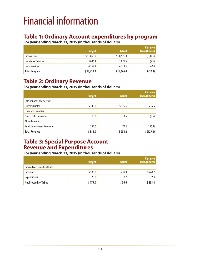# <span id="page-18-0"></span>Financial information

### **Table 1: Ordinary Account expenditures by program**

**For year ending March 31, 2015 (in thousands of dollars)**

|                      | <b>Budget</b> | <b>Actual</b> | <b>Variance</b><br><b>Over/(Under)</b> |
|----------------------|---------------|---------------|----------------------------------------|
| <b>Prosecutions</b>  | \$11,063.9    | \$10,976.3    | \$ (87.6)                              |
| Legislative Services | 3,086.1       | 3,078.5       | (7.6)                                  |
| Legal Services       | 4,269.2       | 4,311.6       | 42.4                                   |
| <b>Total Program</b> | \$18,419.2    | \$18,366.4    | \$ (52.8)                              |

### **Table 2: Ordinary Revenue**

#### **For year ending March 31, 2015 (in thousands of dollars)**

|                                       | <b>Budget</b> | <b>Actual</b> | Variance<br><b>Over/(Under)</b> |
|---------------------------------------|---------------|---------------|---------------------------------|
| Sale of Goods and Services            |               |               |                                 |
| <b>Oueen's Printer</b>                | \$140.0       | \$175.6       | \$35.6                          |
| <b>Fines and Penalties</b>            |               |               |                                 |
| <b>Court Cost - Recoveries</b>        | 10.0          | 1.5           | (8.5)                           |
| <b>Miscellaneous</b>                  |               |               |                                 |
| <b>Public Intervener - Recoveries</b> | 234.0         | 77.1          | (156.9)                         |
| <b>Total Revenue</b>                  | \$384.0       | \$254.2       | \$ (129.8)                      |

### **Table 3: Special Purpose Account Revenue and Expenditures**

#### **For year ending March 31, 2015 (in thousands of dollars)**

|                                     | <b>Budget</b> | <b>Actual</b> | <b>Variance</b><br><b>Over/(Under)</b> |
|-------------------------------------|---------------|---------------|----------------------------------------|
| <b>Proceeds of Crime Trust Fund</b> |               |               |                                        |
| Revenue                             | \$500.0       | \$39.3        | \$460.7                                |
| <b>Expenditures</b>                 | 325.0         | 2.7           | 322.3                                  |
| <b>Net Proceeds of Crime</b>        | \$175.0       | \$36.6        | \$138.4                                |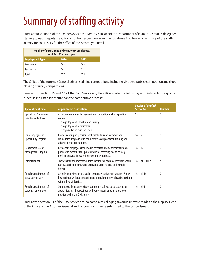# <span id="page-19-0"></span>Summary of staffing activity

Pursuant to section 4 of the *Civil Service Act*, the Deputy Minister of the Department of Human Resources delegates staffing to each Deputy Head for his or her respective departments. Please find below a summary of the staffing activity for 2014-2015 for the Office of the Attorney General.

| Number of permanent and temporary employees,<br>as of Dec. 31 of each year |      |      |
|----------------------------------------------------------------------------|------|------|
| <b>Employment type</b>                                                     | 2014 | 2013 |
| Permanent                                                                  | 163  | 163  |
| <b>Temporary</b>                                                           | 14   | 11   |
| Total                                                                      | 177  | 174  |

The Office of the Attorney General advertised nine competitions, including six open (public) competition and three closed (internal) competitions.

Pursuant to section 15 and 16 of the *Civil Service Act*, the office made the following appointments using other processes to establish merit, than the competitive process:

| <b>Appointment type</b>                               | <b>Appointment description</b>                                                                                                                                                                        | <b>Section of the Civil</b><br><b>Service Act</b> | <b>Number</b> |
|-------------------------------------------------------|-------------------------------------------------------------------------------------------------------------------------------------------------------------------------------------------------------|---------------------------------------------------|---------------|
| Specialized Professional,<br>Scientific or Technical  | An appointment may be made without competition when a position<br>requires:<br>- a high degree of expertise and training<br>- a high degree of technical skill<br>- recognized experts in their field | 15(1)                                             | $\Omega$      |
| <b>Equal Employment</b><br><b>Opportunity Program</b> | Provides Aboriginals, persons with disabilities and members of a<br>visible minority group with equal access to employment, training and<br>advancement opportunities.                                | 16(1)(a)                                          | 0             |
| <b>Department Talent</b><br>Management Program        | Permanent employees identified in corporate and departmental talent<br>pools, who meet the four-point criteria for assessing talent, namely<br>performance, readiness, willingness and criticalness.  | 16(1)(b)                                          | $^{0}$        |
| Lateral transfer                                      | The GNB transfer process facilitates the transfer of employees from within<br>Part 1, 2 (School Boards) and 3 (Hospital Corporations) of the Public<br>Service.                                       | $16(1)$ or $16(1)(c)$                             | 4             |
| Regular appointment of<br>casual/temporary            | An individual hired on a casual or temporary basis under section 17 may<br>be appointed without competition to a regular properly classified position<br>within the Civil Service.                    | 16(1)(d)(i)                                       | 0             |
| Regular appointment of<br>students/apprentices        | Summer students, university or community college co-op students or<br>apprentices may be appointed without competition to an entry level<br>position within the Civil Service.                        | 16(1)(d)(ii)                                      | 0             |

Pursuant to section 33 of the *Civil Service Act*, no complaints alleging favouritism were made to the Deputy Head of the Office of the Attorney General and no complaints were submitted to the Ombudsman.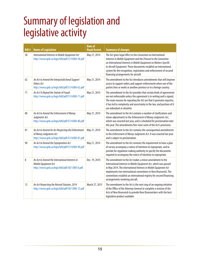### <span id="page-20-0"></span>Summary of legislation and legislative activity

| <b>Bill#</b> | <b>Name of Legislation</b>                                                                                                       | <b>Date of</b><br><b>Royal Assent</b> | <b>Summary of changes</b>                                                                                                                                                                                                                                                                                                                                                                   |
|--------------|----------------------------------------------------------------------------------------------------------------------------------|---------------------------------------|---------------------------------------------------------------------------------------------------------------------------------------------------------------------------------------------------------------------------------------------------------------------------------------------------------------------------------------------------------------------------------------------|
| 58           | International Interests in Mobile Equipment Act<br>http://www.gnb.ca/legis/bill/pdf/57/4/Bill-58.pdf                             | May 21, 2014                          | The Act gives legal effect to the Convention on International<br>Interests in Mobile Equipment and the Protocol to the Convention<br>on International Interests in Mobile Equipment on Matters Specific<br>to Aircraft Equipment. These documents establish an international<br>system for the recognition, registration and enforcement of secured<br>financing arrangements for aircraft. |
| 62           | An Act to Amend the Interjurisdictional Support<br>Orders Act<br>http://www.gnb.ca/legis/bill/pdf/57/4/Bill-62.pdf               | May 21, 2014                          | The amendment to the Act introduces amendments that will improve<br>access to support orders and support enforcement when one of the<br>parties lives or works in another province or in a foreign country.                                                                                                                                                                                 |
| 71           | An Act To Repeal the Statute of Frauds<br>http://www.gnb.ca/legis/bill/pdf/57/4/Bill-71.pdf                                      | May 21, 2014                          | The amendment to the Act provides that certain kinds of agreements<br>are not enforceable unless the agreement is in writing and is signed.<br>The main reasons for repealing the Act are that it promotes injustice,<br>it has led to complexity and uncertainty in the law, and portions of it<br>are redundant or obsolete.                                                              |
| 80           | An Act to Amend the Enforcement of Money<br>Judgments Act<br>http://www.gnb.ca/legis/bill/pdf/57/4/Bill-80.pdf                   | May 21, 2014                          | The amendment to the Act contains a number of clarifications and<br>minor adjustments to the Enforcement of Money Judgments Act,<br>which was enacted last year, and is scheduled for proclamation later<br>this year. The amendments fine-tune some of the Act's provisions.                                                                                                               |
| 81           | An Act to Amend An Act Respecting the Enforcement<br>of Money Judgments Act<br>http://www.gnb.ca/legis/bill/pdf/57/4/Bill-81.pdf | May 21, 2014                          | The amendment to the Act contains the consequential amendments<br>to the Enforcement of Money Judgments Act. It was enacted last year<br>and is subject to proclamation.                                                                                                                                                                                                                    |
| 90           | An Act to Amend the Expropriation Act<br>http://www.gnb.ca/legis/bill/pdf/57/4/Bill-90.pdf                                       | May 21, 2014                          | The amendment to the Act removes the requirement to have a plan<br>of survey accompany a notice of intention to expropriate, and to<br>provide for regulation making authority to specify the documents<br>required to accompany the notice of intention to expropriate.                                                                                                                    |
| 8            | An Act to Amend the International Interests in<br>Mobile Equipment Act<br>http://www.gnb.ca/legis/bill/pdf/58/1/Bill-8.pdf       | Dec. 19, 2014                         | The amendment to the Act makes a minor amendment to the<br>International Interests in Mobile Equipment Act, which was passed<br>in May 2014. The International Interests in Mobile Equipment Act<br>implements two international conventions in New Brunswick. The<br>conventions establish an international registry for secured financing<br>arrangements involving aircraft.             |
| 12           | An Act Respecting the Revised Statutes, 2014<br>http://www.gnb.ca/legis/bill/pdf/58/1/Bill-12.pdf                                | March 27, 2015                        | The amendment to the Act is the next step of an ongoing initiative<br>of the Office of the Attorney General to complete a revision of the<br>Acts of New Brunswick to provide New Brunswickers with the best<br>legislative product available.                                                                                                                                              |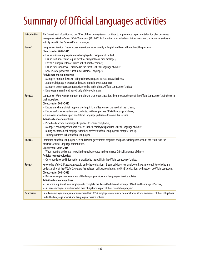# <span id="page-21-0"></span>Summary of Official Languages activities

| <b>Introduction</b> | The Department of Justice and the Office of the Attorney General continue to implement a departmental action plan developed<br>in response to GNB's Plan of Official Languages (2011-2013). The action plan includes activities in each of the four main sectors of<br>activity found in the Plan on Official Languages.                                                                                                                                                                                                                                                                                                                                                                                                                                                                                                                                                                           |
|---------------------|----------------------------------------------------------------------------------------------------------------------------------------------------------------------------------------------------------------------------------------------------------------------------------------------------------------------------------------------------------------------------------------------------------------------------------------------------------------------------------------------------------------------------------------------------------------------------------------------------------------------------------------------------------------------------------------------------------------------------------------------------------------------------------------------------------------------------------------------------------------------------------------------------|
| Focus <sub>1</sub>  | Language of Service : Ensure access to service of equal quality in English and French throughout the province:<br>Objectives for 2014-2015:<br>- Ensure bilingual signage is properly displayed at first point of contact;<br>- Ensure staff understand requirement for bilingual voice mail messages;<br>- Extend a bilingual Offer of Service at first point of contact;<br>- Ensure correspondence is provided in the client's Official Language of choice;<br>- Generic correspondence is sent in both Official Languages.<br><b>Activities to meet objectives:</b><br>- Managers monitor the use of bilingual messaging and interactions with clients;<br>- Additional signage is ordered and posted in public areas as required;<br>- Managers ensure correspondence is provided in the client's Official Language of choice;<br>- Employees are reminded periodically of their obligations. |
| Focus <sub>2</sub>  | Language of Work: An environment and climate that encourages, for all employees, the use of the Official Language of their choice in<br>their workplace:<br>Objectives for 2014-2015:<br>- Ensure branches maintain appropriate linguistic profiles to meet the needs of their clients;<br>- Ensure performance reviews are conducted in the employee's Official Language of choice;<br>- Employees are offered upon hire Official Language preference for computer set-ups.<br>Activities to meet objectives:<br>- Periodically review team linguistic profiles to ensure compliance;<br>- Managers conduct performance reviews in their employee's preferred Official Language of choice;<br>- During orientation, ask employees for their preferred Official Language for computer set-up.<br>- Training is offered in both Official Languages.                                                 |
| Focus 3             | Promotion of Official Languages: New and revised government programs and policies taking into account the realities of the<br>province's Official Language communities.<br><b>Objective for 2014-2015:</b><br>- When meeting and consulting with the public, proceed in the preferred Official Language of choice.<br>Activity to meet objective:<br>- Correspondence and information is provided to the public in the Official Language of choice.                                                                                                                                                                                                                                                                                                                                                                                                                                                |
| Focus 4             | Knowledge of the Official Languages Act and other obligations: Ensure public service employees have a thorough knowledge and<br>understanding of the Official Languages Act, relevant policies, regulations, and GNB's obligations with respect to Official Languages:<br>Objectives for 2014-2015:<br>- Raise new employees' awareness of the Language of Work and Language of Service policies.<br>Activities to meet objectives:<br>- The office requires all new employees to complete the iLearn Modules on Language of Work and Language of Service;<br>- All new employees are informed of their obligations as part of their orientation program.                                                                                                                                                                                                                                          |
| <b>Conclusion</b>   | Based on employee engagement survey results in 2014, employees continue to demonstrate a strong awareness of their obligations<br>under the Language of Work and Language of Service policies.                                                                                                                                                                                                                                                                                                                                                                                                                                                                                                                                                                                                                                                                                                     |